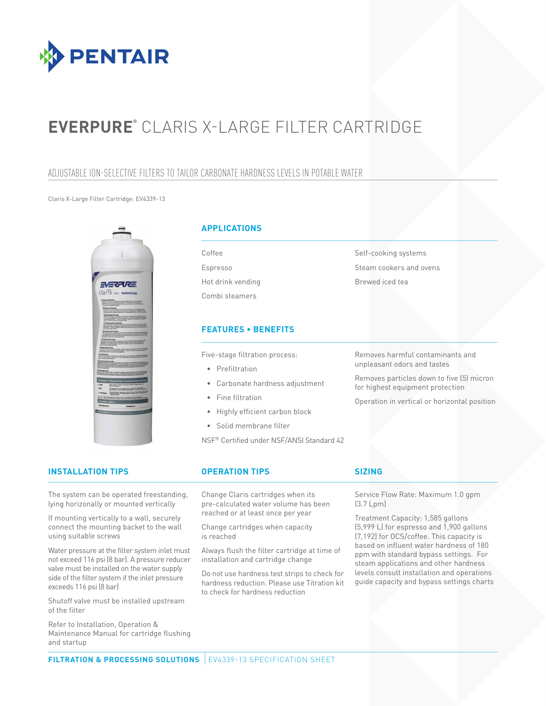

# **EVERPURE®** CLARIS X-LARGE FILTER CARTRIDGE

## ADJUSTABLE ION-SELECTIVE FILTERS TO TAILOR CARBONATE HARDNESS LEVELS IN POTABLE WATER

### Claris X-Large Filter Cartridge: EV4339-13



### **APPLICATIONS**

Coffee Espresso Hot drink vending Combi steamers

### **FEATURES • BENEFITS**

Five-stage filtration process:

- Prefiltration
- Carbonate hardness adjustment
- Fine filtration
- Highly efficient carbon block
- Solid membrane filter

NSF® Certified under NSF/ANSI Standard 42

Removes harmful contaminants and unpleasant odors and tastes

Self-cooking systems Steam cookers and ovens

Brewed iced tea

Removes particles down to five (5) micron for highest equipment protection

Operation in vertical or horizontal position

## **INSTALLATION TIPS OPERATION TIPS SIZING**

The system can be operated freestanding, lying horizonally or mounted vertically

If mounting vertically to a wall, securely connect the mounting backet to the wall using suitable screws

Water pressure at the filter system inlet must not exceed 116 psi (8 bar). A pressure reducer valve must be installed on the water supply side of the filter system if the inlet pressure exceeds 116 psi (8 bar)

Shutoff valve must be installed upstream of the filter

Refer to Installation, Operation & Maintenance Manual for cartridge flushing and startup

Change Claris cartridges when its pre-calculated water volume has been reached or at least once per year

Change cartridges when capacity is reached

Always flush the filter cartridge at time of installation and cartridge change

Do not use hardness test strips to check for hardness reduction. Please use Titration kit to check for hardness reduction

Service Flow Rate: Maximum 1.0 gpm (3.7 Lpm)

Treatment Capacity: 1,585 gallons (5,999 L) for espresso and 1,900 gallons (7,192) for OCS/coffee. This capacity is based on influent water hardness of 180 ppm with standard bypass settings. For steam applications and other hardness levels consult installation and operations guide capacity and bypass settings charts